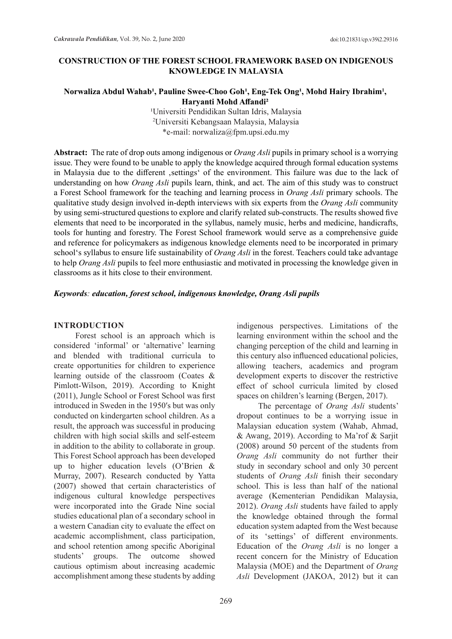### **CONSTRUCTION OF THE FOREST SCHOOL FRAMEWORK BASED ON INDIGENOUS KNOWLEDGE IN MALAYSIA**

### Norwaliza Abdul Wahab<sup>1</sup>, Pauline Swee-Choo Goh<sup>1</sup>, Eng-Tek Ong<sup>1</sup>, Mohd Hairy Ibrahim<sup>1</sup>, **Haryanti Mohd Affandi²**

<sup>1</sup>Universiti Pendidikan Sultan Idris, Malaysia 2 Universiti Kebangsaan Malaysia, Malaysia \*e-mail: norwaliza@fpm.upsi.edu.my

**Abstract:** The rate of drop outs among indigenous or *Orang Asli* pupils in primary school is a worrying issue. They were found to be unable to apply the knowledge acquired through formal education systems in Malaysia due to the different ,settings' of the environment. This failure was due to the lack of understanding on how *Orang Asli* pupils learn, think, and act. The aim of this study was to construct a Forest School framework for the teaching and learning process in *Orang Asli* primary schools. The qualitative study design involved in-depth interviews with six experts from the *Orang Asli* community by using semi-structured questions to explore and clarify related sub-constructs. The results showed five elements that need to be incorporated in the syllabus, namely music, herbs and medicine, handicrafts, tools for hunting and forestry. The Forest School framework would serve as a comprehensive guide and reference for policymakers as indigenous knowledge elements need to be incorporated in primary school's syllabus to ensure life sustainability of *Orang Asli* in the forest. Teachers could take advantage to help *Orang Asli* pupils to feel more enthusiastic and motivated in processing the knowledge given in classrooms as it hits close to their environment.

#### *Keywords: education, forest school, indigenous knowledge, Orang Asli pupils*

#### **INTRODUCTION**

Forest school is an approach which is considered 'informal' or 'alternative' learning and blended with traditional curricula to create opportunities for children to experience learning outside of the classroom (Coates & Pimlott-Wilson, 2019). According to Knight (2011), Jungle School or Forest School was first introduced in Sweden in the 1950′s but was only conducted on kindergarten school children. As a result, the approach was successful in producing children with high social skills and self-esteem in addition to the ability to collaborate in group. This Forest School approach has been developed up to higher education levels (O'Brien & Murray, 2007). Research conducted by Yatta (2007) showed that certain characteristics of indigenous cultural knowledge perspectives were incorporated into the Grade Nine social studies educational plan of a secondary school in a western Canadian city to evaluate the effect on academic accomplishment, class participation, and school retention among specific Aboriginal students' groups. The outcome showed cautious optimism about increasing academic accomplishment among these students by adding indigenous perspectives. Limitations of the learning environment within the school and the changing perception of the child and learning in this century also influenced educational policies, allowing teachers, academics and program development experts to discover the restrictive effect of school curricula limited by closed spaces on children's learning (Bergen, 2017).

The percentage of *Orang Asli* students' dropout continues to be a worrying issue in Malaysian education system (Wahab, Ahmad, & Awang, 2019). According to Ma'rof & Sarjit (2008) around 50 percent of the students from *Orang Asli* community do not further their study in secondary school and only 30 percent students of *Orang Asli* finish their secondary school. This is less than half of the national average (Kementerian Pendidikan Malaysia, 2012). *Orang Asli* students have failed to apply the knowledge obtained through the formal education system adapted from the West because of its 'settings' of different environments. Education of the *Orang Asli* is no longer a recent concern for the Ministry of Education Malaysia (MOE) and the Department of *Orang Asli* Development (JAKOA, 2012) but it can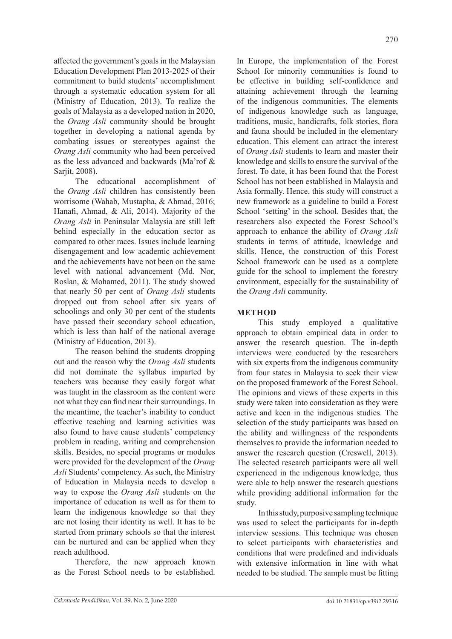affected the government's goals in the Malaysian Education Development Plan 2013-2025 of their commitment to build students' accomplishment through a systematic education system for all (Ministry of Education, 2013). To realize the goals of Malaysia as a developed nation in 2020, the *Orang Asli* community should be brought together in developing a national agenda by combating issues or stereotypes against the *Orang Asli* community who had been perceived as the less advanced and backwards (Ma'rof & Sarjit, 2008).

The educational accomplishment of the *Orang Asli* children has consistently been worrisome (Wahab, Mustapha, & Ahmad, 2016; Hanafi, Ahmad, & Ali, 2014). Majority of the *Orang Asli* in Peninsular Malaysia are still left behind especially in the education sector as compared to other races. Issues include learning disengagement and low academic achievement and the achievements have not been on the same level with national advancement (Md. Nor, Roslan, & Mohamed, 2011). The study showed that nearly 50 per cent of *Orang Asli* students dropped out from school after six years of schoolings and only 30 per cent of the students have passed their secondary school education, which is less than half of the national average (Ministry of Education, 2013).

The reason behind the students dropping out and the reason why the *Orang Asli* students did not dominate the syllabus imparted by teachers was because they easily forgot what was taught in the classroom as the content were not what they can find near their surroundings. In the meantime, the teacher's inability to conduct effective teaching and learning activities was also found to have cause students' competency problem in reading, writing and comprehension skills. Besides, no special programs or modules were provided for the development of the *Orang Asli* Students' competency. As such, the Ministry of Education in Malaysia needs to develop a way to expose the *Orang Asli* students on the importance of education as well as for them to learn the indigenous knowledge so that they are not losing their identity as well. It has to be started from primary schools so that the interest can be nurtured and can be applied when they reach adulthood.

Therefore, the new approach known as the Forest School needs to be established.

In Europe, the implementation of the Forest School for minority communities is found to be effective in building self-confidence and attaining achievement through the learning of the indigenous communities. The elements of indigenous knowledge such as language, traditions, music, handicrafts, folk stories, flora and fauna should be included in the elementary education. This element can attract the interest of *Orang Asli* students to learn and master their knowledge and skills to ensure the survival of the forest. To date, it has been found that the Forest School has not been established in Malaysia and Asia formally. Hence, this study will construct a new framework as a guideline to build a Forest School 'setting' in the school. Besides that, the researchers also expected the Forest School's approach to enhance the ability of *Orang Asli* students in terms of attitude, knowledge and skills. Hence, the construction of this Forest School framework can be used as a complete guide for the school to implement the forestry environment, especially for the sustainability of the *Orang Asli* community.

# **METHOD**

This study employed a qualitative approach to obtain empirical data in order to answer the research question. The in-depth interviews were conducted by the researchers with six experts from the indigenous community from four states in Malaysia to seek their view on the proposed framework of the Forest School. The opinions and views of these experts in this study were taken into consideration as they were active and keen in the indigenous studies. The selection of the study participants was based on the ability and willingness of the respondents themselves to provide the information needed to answer the research question (Creswell, 2013). The selected research participants were all well experienced in the indigenous knowledge, thus were able to help answer the research questions while providing additional information for the study.

In this study, purposive sampling technique was used to select the participants for in-depth interview sessions. This technique was chosen to select participants with characteristics and conditions that were predefined and individuals with extensive information in line with what needed to be studied. The sample must be fitting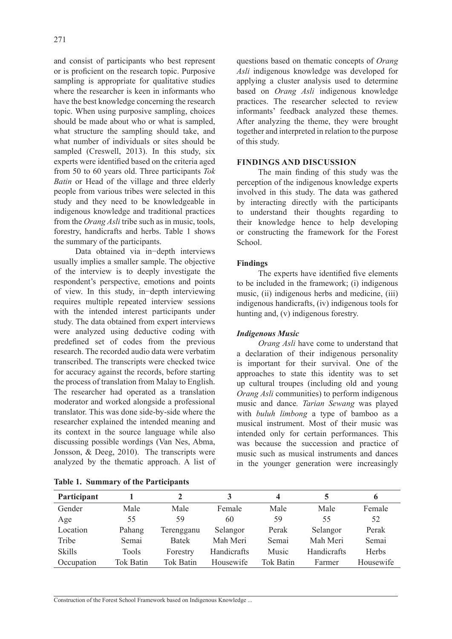and consist of participants who best represent or is proficient on the research topic. Purposive sampling is appropriate for qualitative studies where the researcher is keen in informants who have the best knowledge concerning the research topic. When using purposive sampling, choices should be made about who or what is sampled, what structure the sampling should take, and what number of individuals or sites should be sampled (Creswell, 2013). In this study, six experts were identified based on the criteria aged from 50 to 60 years old. Three participants *Tok Batin* or Head of the village and three elderly people from various tribes were selected in this study and they need to be knowledgeable in indigenous knowledge and traditional practices from the *Orang Asli* tribe such as in music, tools, forestry, handicrafts and herbs. Table 1 shows the summary of the participants.

Data obtained via in−depth interviews usually implies a smaller sample. The objective of the interview is to deeply investigate the respondent's perspective, emotions and points of view. In this study, in−depth interviewing requires multiple repeated interview sessions with the intended interest participants under study. The data obtained from expert interviews were analyzed using deductive coding with predefined set of codes from the previous research. The recorded audio data were verbatim transcribed. The transcripts were checked twice for accuracy against the records, before starting the process of translation from Malay to English. The researcher had operated as a translation moderator and worked alongside a professional translator. This was done side-by-side where the researcher explained the intended meaning and its context in the source language while also discussing possible wordings (Van Nes, Abma, Jonsson, & Deeg, 2010). The transcripts were analyzed by the thematic approach. A list of questions based on thematic concepts of *Orang Asli* indigenous knowledge was developed for applying a cluster analysis used to determine based on *Orang Asli* indigenous knowledge practices. The researcher selected to review informants' feedback analyzed these themes. After analyzing the theme, they were brought together and interpreted in relation to the purpose of this study.

#### **FINDINGS AND DISCUSSION**

The main finding of this study was the perception of the indigenous knowledge experts involved in this study. The data was gathered by interacting directly with the participants to understand their thoughts regarding to their knowledge hence to help developing or constructing the framework for the Forest School.

## **Findings**

The experts have identified five elements to be included in the framework; (i) indigenous music, (ii) indigenous herbs and medicine, (iii) indigenous handicrafts, (iv) indigenous tools for hunting and, (v) indigenous forestry.

## *Indigenous Music*

*Orang Asli* have come to understand that a declaration of their indigenous personality is important for their survival. One of the approaches to state this identity was to set up cultural troupes (including old and young *Orang Asli* communities) to perform indigenous music and dance*. Tarian Sewang* was played with *buluh limbong* a type of bamboo as a musical instrument. Most of their music was intended only for certain performances. This was because the succession and practice of music such as musical instruments and dances in the younger generation were increasingly

| Participant   |                  |              |             | 4                |             |              |
|---------------|------------------|--------------|-------------|------------------|-------------|--------------|
| Gender        | Male             | Male         | Female      | Male             | Male        | Female       |
| Age           | 55               | 59           | 60          | 59               | 55          | 52           |
| Location      | Pahang           | Terengganu   | Selangor    | Perak            | Selangor    | Perak        |
| Tribe         | Semai            | <b>Batek</b> | Mah Meri    | Semai            | Mah Meri    | Semai        |
| <b>Skills</b> | Tools            | Forestry     | Handicrafts | Music            | Handicrafts | <b>Herbs</b> |
| Occupation    | <b>Tok Batin</b> | Tok Batin    | Housewife   | <b>Tok Batin</b> | Farmer      | Housewife    |

Construction of the Forest School Framework based on Indigenous Knowledge ...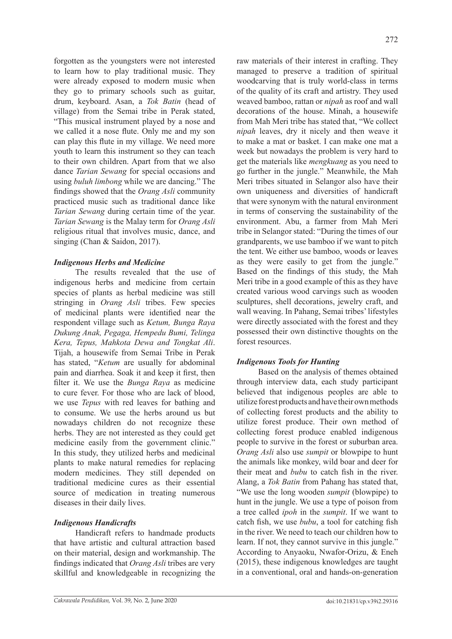forgotten as the youngsters were not interested to learn how to play traditional music. They were already exposed to modern music when they go to primary schools such as guitar, drum, keyboard. Asan, a *Tok Batin* (head of village) from the Semai tribe in Perak stated, "This musical instrument played by a nose and we called it a nose flute. Only me and my son can play this flute in my village. We need more youth to learn this instrument so they can teach to their own children. Apart from that we also dance *Tarian Sewang* for special occasions and using *buluh limbong* while we are dancing." The findings showed that the *Orang Asli* community practiced music such as traditional dance like *Tarian Sewang* during certain time of the year. *Tarian Sewang* is the Malay term for *Orang Asli* religious ritual that involves music, dance, and singing (Chan & Saidon, 2017).

## *Indigenous Herbs and Medicine*

The results revealed that the use of indigenous herbs and medicine from certain species of plants as herbal medicine was still stringing in *Orang Asli* tribes. Few species of medicinal plants were identified near the respondent village such as *Ketum, Bunga Raya Dukung Anak, Pegaga, Hempedu Bumi, Telinga Kera, Tepus, Mahkota Dewa and Tongkat Ali*. Tijah, a housewife from Semai Tribe in Perak has stated, "*Ketum* are usually for abdominal pain and diarrhea. Soak it and keep it first, then filter it. We use the *Bunga Raya* as medicine to cure fever. For those who are lack of blood, we use *Tepus* with red leaves for bathing and to consume. We use the herbs around us but nowadays children do not recognize these herbs. They are not interested as they could get medicine easily from the government clinic." In this study, they utilized herbs and medicinal plants to make natural remedies for replacing modern medicines. They still depended on traditional medicine cures as their essential source of medication in treating numerous diseases in their daily lives.

## *Indigenous Handicrafts*

Handicraft refers to handmade products that have artistic and cultural attraction based on their material, design and workmanship. The findings indicated that *Orang Asli* tribes are very skillful and knowledgeable in recognizing the

raw materials of their interest in crafting. They managed to preserve a tradition of spiritual woodcarving that is truly world-class in terms of the quality of its craft and artistry. They used weaved bamboo, rattan or *nipah* as roof and wall decorations of the house. Minah, a housewife from Mah Meri tribe has stated that, "We collect *nipah* leaves, dry it nicely and then weave it to make a mat or basket. I can make one mat a week but nowadays the problem is very hard to get the materials like *mengkuang* as you need to go further in the jungle." Meanwhile, the Mah Meri tribes situated in Selangor also have their own uniqueness and diversities of handicraft that were synonym with the natural environment in terms of conserving the sustainability of the environment. Abu, a farmer from Mah Meri tribe in Selangor stated: "During the times of our grandparents, we use bamboo if we want to pitch the tent. We either use bamboo, woods or leaves as they were easily to get from the jungle." Based on the findings of this study, the Mah Meri tribe in a good example of this as they have created various wood carvings such as wooden sculptures, shell decorations, jewelry craft, and wall weaving. In Pahang, Semai tribes' lifestyles were directly associated with the forest and they possessed their own distinctive thoughts on the forest resources.

## *Indigenous Tools for Hunting*

Based on the analysis of themes obtained through interview data, each study participant believed that indigenous peoples are able to utilize forest products and have their own methods of collecting forest products and the ability to utilize forest produce. Their own method of collecting forest produce enabled indigenous people to survive in the forest or suburban area. *Orang Asli* also use *sumpit* or blowpipe to hunt the animals like monkey, wild boar and deer for their meat and *bubu* to catch fish in the river. Alang, a *Tok Batin* from Pahang has stated that, "We use the long wooden *sumpit* (blowpipe) to hunt in the jungle. We use a type of poison from a tree called *ipoh* in the *sumpit*. If we want to catch fish, we use *bubu*, a tool for catching fish in the river. We need to teach our children how to learn. If not, they cannot survive in this jungle." According to Anyaoku, Nwafor-Orizu, & Eneh (2015), these indigenous knowledges are taught in a conventional, oral and hands-on-generation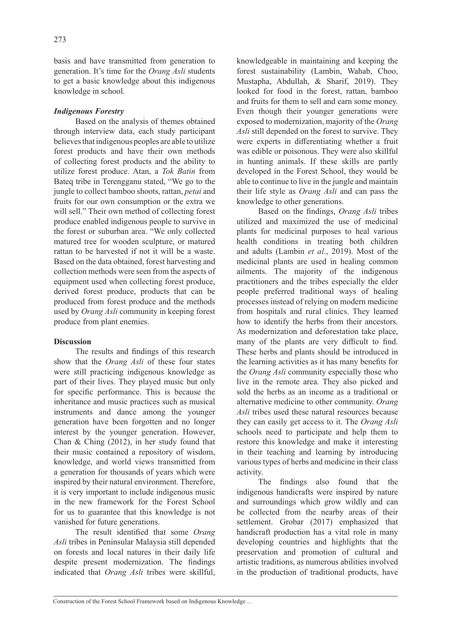basis and have transmitted from generation to generation. It's time for the *Orang Asli* students to get a basic knowledge about this indigenous knowledge in school.

## *Indigenous Forestry*

Based on the analysis of themes obtained through interview data, each study participant believes that indigenous peoples are able to utilize forest products and have their own methods of collecting forest products and the ability to utilize forest produce. Atan, a *Tok Batin* from Bateq tribe in Terengganu stated, "We go to the jungle to collect bamboo shoots, rattan, *petai* and fruits for our own consumption or the extra we will sell." Their own method of collecting forest produce enabled indigenous people to survive in the forest or suburban area. "We only collected matured tree for wooden sculpture, or matured rattan to be harvested if not it will be a waste. Based on the data obtained, forest harvesting and collection methods were seen from the aspects of equipment used when collecting forest produce, derived forest produce, products that can be produced from forest produce and the methods used by *Orang Asli* community in keeping forest produce from plant enemies.

## **Discussion**

The results and findings of this research show that the *Orang Asli* of these four states were still practicing indigenous knowledge as part of their lives. They played music but only for specific performance. This is because the inheritance and music practices such as musical instruments and dance among the younger generation have been forgotten and no longer interest by the younger generation. However, Chan & Ching (2012), in her study found that their music contained a repository of wisdom, knowledge, and world views transmitted from a generation for thousands of years which were inspired by their natural environment. Therefore, it is very important to include indigenous music in the new framework for the Forest School for us to guarantee that this knowledge is not vanished for future generations.

The result identified that some *Orang Asli* tribes in Peninsular Malaysia still depended on forests and local natures in their daily life despite present modernization. The findings indicated that *Orang Asli* tribes were skillful, knowledgeable in maintaining and keeping the forest sustainability (Lambin, Wahab, Choo, Mustapha, Abdullah, & Sharif, 2019). They looked for food in the forest, rattan, bamboo and fruits for them to sell and earn some money. Even though their younger generations were exposed to modernization, majority of the *Orang Asli* still depended on the forest to survive. They were experts in differentiating whether a fruit was edible or poisonous. They were also skillful in hunting animals. If these skills are partly developed in the Forest School, they would be able to continue to live in the jungle and maintain their life style as *Orang Asli* and can pass the knowledge to other generations.

Based on the findings, *Orang Asli* tribes utilized and maximized the use of medicinal plants for medicinal purposes to heal various health conditions in treating both children and adults (Lambin *et al*., 2019). Most of the medicinal plants are used in healing common ailments. The majority of the indigenous practitioners and the tribes especially the elder people preferred traditional ways of healing processes instead of relying on modern medicine from hospitals and rural clinics. They learned how to identify the herbs from their ancestors. As modernization and deforestation take place, many of the plants are very difficult to find. These herbs and plants should be introduced in the learning activities as it has many benefits for the *Orang Asli* community especially those who live in the remote area. They also picked and sold the herbs as an income as a traditional or alternative medicine to other community. *Orang Asli* tribes used these natural resources because they can easily get access to it. The *Orang Asli* schools need to participate and help them to restore this knowledge and make it interesting in their teaching and learning by introducing various types of herbs and medicine in their class activity.

The findings also found that the indigenous handicrafts were inspired by nature and surroundings which grow wildly and can be collected from the nearby areas of their settlement. Grobar (2017) emphasized that handicraft production has a vital role in many developing countries and highlights that the preservation and promotion of cultural and artistic traditions, as numerous abilities involved in the production of traditional products, have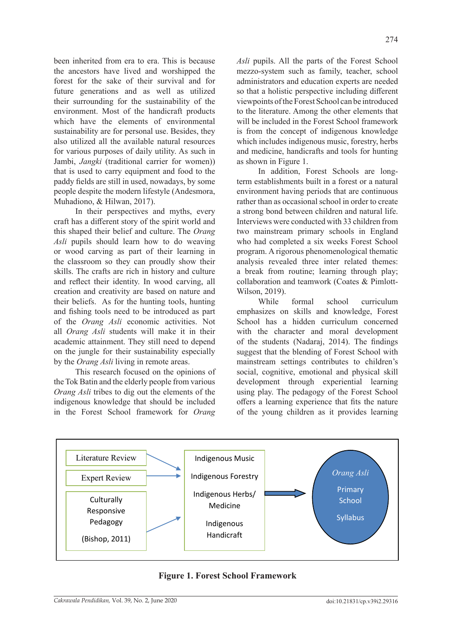been inherited from era to era. This is because the ancestors have lived and worshipped the forest for the sake of their survival and for future generations and as well as utilized their surrounding for the sustainability of the environment. Most of the handicraft products which have the elements of environmental sustainability are for personal use. Besides, they also utilized all the available natural resources for various purposes of daily utility. As such in Jambi, *Jangki* (traditional carrier for women)) that is used to carry equipment and food to the paddy fields are still in used, nowadays, by some people despite the modern lifestyle (Andesmora, Muhadiono, & Hilwan, 2017).

In their perspectives and myths, every craft has a different story of the spirit world and this shaped their belief and culture. The *Orang Asli* pupils should learn how to do weaving or wood carving as part of their learning in the classroom so they can proudly show their skills. The crafts are rich in history and culture and reflect their identity. In wood carving, all creation and creativity are based on nature and their beliefs. As for the hunting tools, hunting and fishing tools need to be introduced as part of the *Orang Asli* economic activities. Not all *Orang Asli* students will make it in their academic attainment. They still need to depend on the jungle for their sustainability especially by the *Orang Asli* living in remote areas.

This research focused on the opinions of the Tok Batin and the elderly people from various *Orang Asli* tribes to dig out the elements of the indigenous knowledge that should be included in the Forest School framework for *Orang*  *Asli* pupils. All the parts of the Forest School mezzo-system such as family, teacher, school administrators and education experts are needed so that a holistic perspective including different viewpoints of the Forest School can be introduced to the literature. Among the other elements that will be included in the Forest School framework is from the concept of indigenous knowledge which includes indigenous music, forestry, herbs and medicine, handicrafts and tools for hunting as shown in Figure 1.

In addition, Forest Schools are longterm establishments built in a forest or a natural environment having periods that are continuous rather than as occasional school in order to create a strong bond between children and natural life. Interviews were conducted with 33 children from two mainstream primary schools in England who had completed a six weeks Forest School program. A rigorous phenomenological thematic analysis revealed three inter related themes: a break from routine; learning through play; collaboration and teamwork (Coates & Pimlott-Wilson, 2019).

While formal school curriculum emphasizes on skills and knowledge, Forest School has a hidden curriculum concerned with the character and moral development of the students (Nadaraj, 2014). The findings suggest that the blending of Forest School with mainstream settings contributes to children's social, cognitive, emotional and physical skill development through experiential learning using play. The pedagogy of the Forest School offers a learning experience that fits the nature of the young children as it provides learning



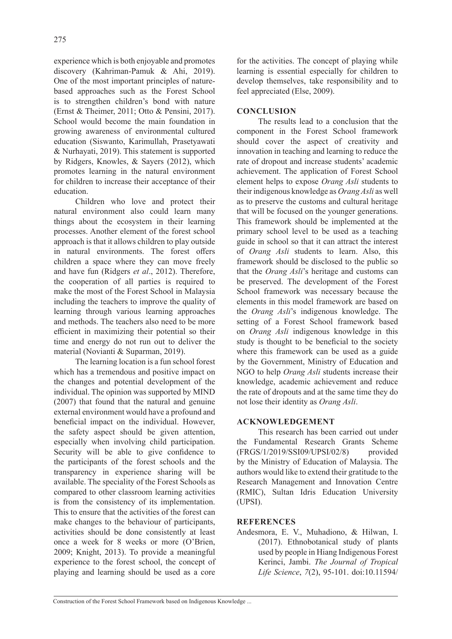experience which is both enjoyable and promotes discovery (Kahriman-Pamuk & Ahi, 2019). One of the most important principles of naturebased approaches such as the Forest School is to strengthen children's bond with nature (Ernst & Theimer, 2011; Otto & Pensini, 2017). School would become the main foundation in growing awareness of environmental cultured education (Siswanto, Karimullah, Prasetyawati & Nurhayati, 2019). This statement is supported by Ridgers, Knowles, & Sayers (2012), which promotes learning in the natural environment for children to increase their acceptance of their education.

Children who love and protect their natural environment also could learn many things about the ecosystem in their learning processes. Another element of the forest school approach is that it allows children to play outside in natural environments. The forest offers children a space where they can move freely and have fun (Ridgers *et al*., 2012). Therefore, the cooperation of all parties is required to make the most of the Forest School in Malaysia including the teachers to improve the quality of learning through various learning approaches and methods. The teachers also need to be more efficient in maximizing their potential so their time and energy do not run out to deliver the material (Novianti & Suparman, 2019).

The learning location is a fun school forest which has a tremendous and positive impact on the changes and potential development of the individual. The opinion was supported by MIND (2007) that found that the natural and genuine external environment would have a profound and beneficial impact on the individual. However, the safety aspect should be given attention, especially when involving child participation. Security will be able to give confidence to the participants of the forest schools and the transparency in experience sharing will be available. The speciality of the Forest Schools as compared to other classroom learning activities is from the consistency of its implementation. This to ensure that the activities of the forest can make changes to the behaviour of participants, activities should be done consistently at least once a week for 8 weeks or more (O'Brien, 2009; Knight, 2013). To provide a meaningful experience to the forest school, the concept of playing and learning should be used as a core for the activities. The concept of playing while learning is essential especially for children to develop themselves, take responsibility and to feel appreciated (Else, 2009).

### **CONCLUSION**

The results lead to a conclusion that the component in the Forest School framework should cover the aspect of creativity and innovation in teaching and learning to reduce the rate of dropout and increase students' academic achievement. The application of Forest School element helps to expose *Orang Asli* students to their indigenous knowledge as *Orang Asli* as well as to preserve the customs and cultural heritage that will be focused on the younger generations. This framework should be implemented at the primary school level to be used as a teaching guide in school so that it can attract the interest of *Orang Asli* students to learn. Also, this framework should be disclosed to the public so that the *Orang Asli*'s heritage and customs can be preserved. The development of the Forest School framework was necessary because the elements in this model framework are based on the *Orang Asli*'s indigenous knowledge. The setting of a Forest School framework based on *Orang Asli* indigenous knowledge in this study is thought to be beneficial to the society where this framework can be used as a guide by the Government, Ministry of Education and NGO to help *Orang Asli* students increase their knowledge, academic achievement and reduce the rate of dropouts and at the same time they do not lose their identity as *Orang Asli*.

#### **ACKNOWLEDGEMENT**

This research has been carried out under the Fundamental Research Grants Scheme (FRGS/1/2019/SSI09/UPSI/02/8) provided by the Ministry of Education of Malaysia. The authors would like to extend their gratitude to the Research Management and Innovation Centre (RMIC), Sultan Idris Education University (UPSI).

#### **REFERENCES**

Andesmora, E. V., Muhadiono, & Hilwan, I. (2017). Ethnobotanical study of plants used by people in Hiang Indigenous Forest Kerinci, Jambi. *The Journal of Tropical Life Science*, *7*(2), 95-101. doi:10.11594/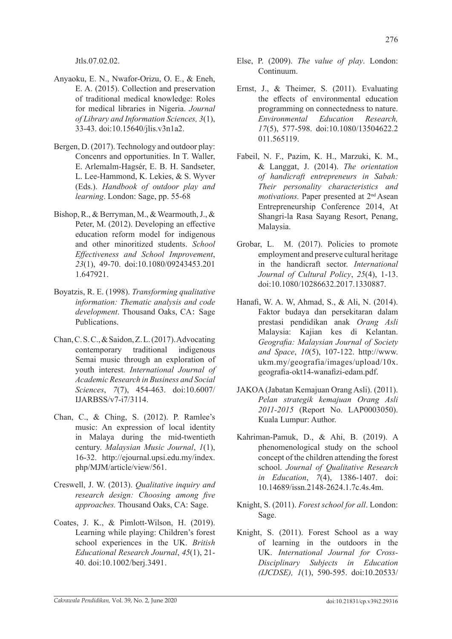Jtls.07.02.02.

- Anyaoku, E. N., Nwafor-Orizu, O. E., & Eneh, E. A. (2015). Collection and preservation of traditional medical knowledge: Roles for medical libraries in Nigeria. *Journal of Library and Information Sciences, 3*(1), 33-43. doi:10.15640/jlis.v3n1a2.
- Bergen, D. (2017). Technology and outdoor play: Concenrs and opportunities. In T. Waller, E. Arlemalm-Hagsér, E. B. H. Sandseter, L. Lee-Hammond, K. Lekies, & S. Wyver (Eds.). *Handbook of outdoor play and learning*. London: Sage, pp. 55-68
- Bishop, R., & Berryman, M., & Wearmouth, J., & Peter, M. (2012). Developing an effective education reform model for indigenous and other minoritized students. *School Effectiveness and School Improvement*, *23*(1), 49-70. doi:10.1080/09243453.201 1.647921.
- Boyatzis, R. E. (1998). *Transforming qualitative information: Thematic analysis and code development*. Thousand Oaks, CA: Sage Publications.
- Chan, C. S. C., & Saidon, Z. L. (2017). Advocating contemporary traditional indigenous Semai music through an exploration of youth interest. *International Journal of Academic Research in Business and Social Sciences*, *7*(7), 454-463. doi:10.6007/ IJARBSS/v7-i7/3114.
- Chan, C., & Ching, S. (2012). P. Ramlee's music: An expression of local identity in Malaya during the mid-twentieth century. *Malaysian Music Journal*, *1*(1), 16-32. http://ejournal.upsi.edu.my/index. php/MJM/article/view/561.
- Creswell, J. W. (2013). *Qualitative inquiry and research design: Choosing among five approaches.* Thousand Oaks, CA: Sage.
- Coates, J. K., & Pimlott‐Wilson, H. (2019). Learning while playing: Children's forest school experiences in the UK. *British Educational Research Journal*, *45*(1), 21- 40. doi:10.1002/berj.3491.
- Else, P. (2009). *The value of play*. London: Continuum.
- Ernst, J., & Theimer, S. (2011). Evaluating the effects of environmental education programming on connectedness to nature. *Environmental Education Research, 17*(5), 577-598. doi:10.1080/13504622.2 011.565119.
- Fabeil, N. F., Pazim, K. H., Marzuki, K. M., & Langgat, J. (2014). *The orientation of handicraft entrepreneurs in Sabah: Their personality characteristics and motivations.* Paper presented at 2<sup>nd</sup> Asean Entrepreneurship Conference 2014, At Shangri-la Rasa Sayang Resort, Penang, Malaysia.
- Grobar, L. M. (2017). Policies to promote employment and preserve cultural heritage in the handicraft sector. *International Journal of Cultural Policy*, *25*(4), 1-13. doi:10.1080/10286632.2017.1330887.
- Hanafi, W. A. W, Ahmad, S., & Ali, N. (2014). Faktor budaya dan persekitaran dalam prestasi pendidikan anak *Orang Asli* Malaysia: Kajian kes di Kelantan. *Geografia: Malaysian Journal of Society and Space*, *10*(5), 107-122. http://www. ukm.my/geografia/images/upload/10x. geografia-okt14-wanafizi-edam.pdf.
- JAKOA (Jabatan Kemajuan Orang Asli). (2011). *Pelan strategik kemajuan Orang Asli 2011-2015* (Report No. LAP0003050). Kuala Lumpur: Author.
- Kahriman-Pamuk, D., & Ahi, B. (2019). A phenomenological study on the school concept of the children attending the forest school. *Journal of Qualitative Research in Education*, *7*(4), 1386-1407. doi: 10.14689/issn.2148-2624.1.7c.4s.4m.
- Knight, S. (2011). *Forest school for all*. London: Sage.
- Knight, S. (2011). Forest School as a way of learning in the outdoors in the UK. *International Journal for Cross-Disciplinary Subjects in Education (IJCDSE), 1*(1), 590-595. doi:10.20533/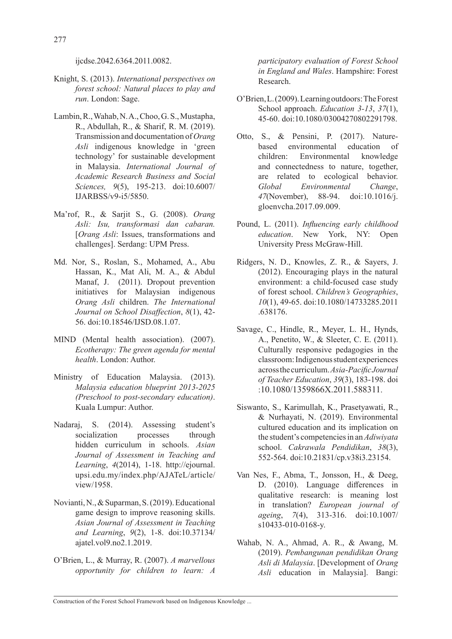ijcdse.2042.6364.2011.0082.

- Knight, S. (2013). *International perspectives on forest school: Natural places to play and run*. London: Sage.
- Lambin, R., Wahab, N. A., Choo, G. S., Mustapha, R., Abdullah, R., & Sharif, R. M. (2019). Transmission and documentation of *Orang Asli* indigenous knowledge in 'green technology' for sustainable development in Malaysia. *International Journal of Academic Research Business and Social Sciences, 9*(5), 195-213. doi:10.6007/ IJARBSS/v9-i5/5850.
- Ma'rof, R., & Sarjit S., G. (2008). *Orang Asli: Isu, transformasi dan cabaran.*  [*Orang Asli*: Issues, transformations and challenges]. Serdang: UPM Press.
- Md. Nor, S., Roslan, S., Mohamed, A., Abu Hassan, K., Mat Ali, M. A., & Abdul Manaf, J. (2011). Dropout prevention initiatives for Malaysian indigenous *Orang Asli* children. *The International Journal on School Disaffection*, *8*(1), 42- 56. doi:10.18546/IJSD.08.1.07.
- MIND (Mental health association). (2007). *Ecotherapy: The green agenda for mental health*. London: Author.
- Ministry of Education Malaysia. (2013). *Malaysia education blueprint 2013-2025 (Preschool to post-secondary education)*. Kuala Lumpur: Author.
- Nadaraj, S. (2014). Assessing student's socialization processes through hidden curriculum in schools. *Asian Journal of Assessment in Teaching and Learning*, *4*(2014), 1-18. http://ejournal. upsi.edu.my/index.php/AJATeL/article/ view/1958.
- Novianti, N., & Suparman, S. (2019). Educational game design to improve reasoning skills. *Asian Journal of Assessment in Teaching and Learning*, *9*(2), 1-8. doi:10.37134/ ajatel.vol9.no2.1.2019.
- O'Brien, L., & Murray, R. (2007). *A marvellous opportunity for children to learn: A*

*participatory evaluation of Forest School in England and Wales*. Hampshire: Forest Research.

- O'Brien, L. (2009). Learning outdoors: The Forest School approach. *Education 3-13*, *37*(1), 45-60. doi:10.1080/03004270802291798.
- Otto, S., & Pensini, P. (2017). Naturebased environmental education of children: Environmental knowledge and connectedness to nature, together, are related to ecological behavior. *Global Environmental Change*, *47*(November), 88-94. doi:10.1016/j. gloenvcha.2017.09.009.
- Pound, L. (2011). *Influencing early childhood education*. New York, NY: Open University Press McGraw-Hill.
- Ridgers, N. D., Knowles, Z. R., & Sayers, J. (2012). Encouraging plays in the natural environment: a child-focused case study of forest school. *Children's Geographies*, *10*(1), 49-65. doi:10.1080/14733285.2011 .638176.
- Savage, C., Hindle, R., Meyer, L. H., Hynds, A., Penetito, W., & Sleeter, C. E. (2011). Culturally responsive pedagogies in the classroom: Indigenous student experiences across the curriculum.*Asia-Pacific Journal of Teacher Education*, *39*(3), 183-198. doi :10.1080/1359866X.2011.588311.
- Siswanto, S., Karimullah, K., Prasetyawati, R., & Nurhayati, N. (2019). Environmental cultured education and its implication on the student's competencies in an *Adiwiyata*  school. *Cakrawala Pendidikan*, *38*(3), 552-564. doi:10.21831/cp.v38i3.23154.
- Van Nes, F., Abma, T., Jonsson, H., & Deeg, D. (2010). Language differences in qualitative research: is meaning lost in translation? *European journal of ageing*, *7*(4), 313-316. doi:10.1007/ s10433-010-0168-y.
- Wahab, N. A., Ahmad, A. R., & Awang, M. (2019). *Pembangunan pendidikan Orang Asli di Malaysia*. [Development of *Orang Asli* education in Malaysia]. Bangi: